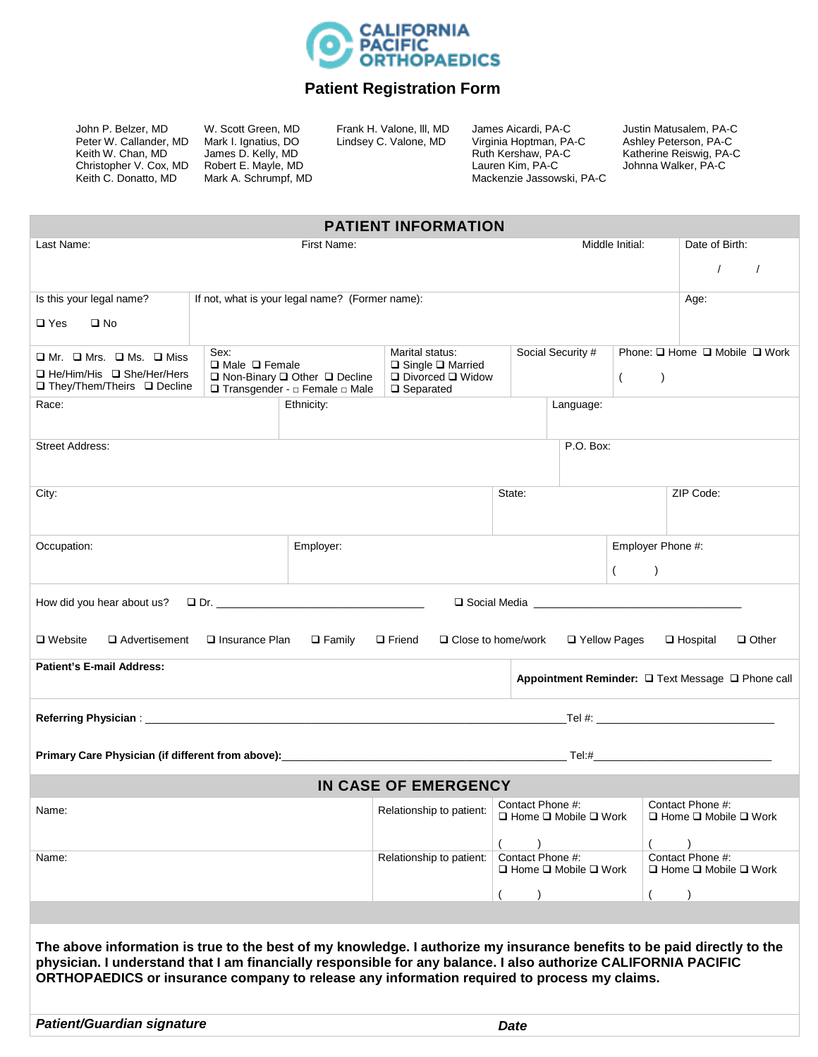

### **Patient Registration Form**

John P. Belzer, MD Peter W. Callander, MD Keith W. Chan, MD Christopher V. Cox, MD Keith C. Donatto, MD

W. Scott Green, MD Mark I. Ignatius, DO James D. Kelly, MD Robert E. Mayle, MD Mark A. Schrumpf, MD Frank H. Valone, lll, MD Lindsey C. Valone, MD

James Aicardi, PA-C Virginia Hoptman, PA-C Ruth Kershaw, PA-C Lauren Kim, PA-C Mackenzie Jassowski, PA-C Justin Matusalem, PA-C Ashley Peterson, PA-C Katherine Reiswig, PA-C Johnna Walker, PA-C

| <b>PATIENT INFORMATION</b>                                                                                                                                                                                                                |                                            |                                                                                  |                                                                                           |                           |                                                |                               |                                                           |  |
|-------------------------------------------------------------------------------------------------------------------------------------------------------------------------------------------------------------------------------------------|--------------------------------------------|----------------------------------------------------------------------------------|-------------------------------------------------------------------------------------------|---------------------------|------------------------------------------------|-------------------------------|-----------------------------------------------------------|--|
| Last Name:                                                                                                                                                                                                                                |                                            |                                                                                  | Middle Initial:                                                                           | Date of Birth:            |                                                |                               |                                                           |  |
|                                                                                                                                                                                                                                           |                                            |                                                                                  |                                                                                           |                           | $\prime$<br>$\sqrt{ }$                         |                               |                                                           |  |
| Is this your legal name?                                                                                                                                                                                                                  |                                            | If not, what is your legal name? (Former name):                                  |                                                                                           |                           |                                                |                               | Age:                                                      |  |
| $\square$ Yes<br>$\square$ No                                                                                                                                                                                                             |                                            |                                                                                  |                                                                                           |                           |                                                |                               |                                                           |  |
| $\square$ Mr. $\square$ Mrs. $\square$ Ms. $\square$ Miss                                                                                                                                                                                 | Sex:                                       |                                                                                  | Marital status:                                                                           |                           | Social Security #                              | Phone: □ Home □ Mobile □ Work |                                                           |  |
| □ He/Him/His □ She/Her/Hers<br>□ They/Them/Theirs □ Decline                                                                                                                                                                               | $\Box$ Male $\Box$ Female                  | $\Box$ Non-Binary $\Box$ Other $\Box$ Decline<br>□ Transgender - □ Female □ Male | $\Box$ Single $\Box$ Married<br>$\square$ Divorced $\square$ Widow<br>$\square$ Separated |                           |                                                | $\left( \right)$<br>$\left($  |                                                           |  |
| Race:                                                                                                                                                                                                                                     |                                            | Ethnicity:                                                                       |                                                                                           |                           | Language:                                      |                               |                                                           |  |
| Street Address:                                                                                                                                                                                                                           |                                            |                                                                                  |                                                                                           |                           | P.O. Box:                                      |                               |                                                           |  |
|                                                                                                                                                                                                                                           |                                            |                                                                                  |                                                                                           |                           |                                                |                               |                                                           |  |
| City:                                                                                                                                                                                                                                     |                                            |                                                                                  |                                                                                           | State:                    |                                                |                               | ZIP Code:                                                 |  |
|                                                                                                                                                                                                                                           |                                            |                                                                                  |                                                                                           |                           |                                                |                               |                                                           |  |
| Occupation:                                                                                                                                                                                                                               |                                            | Employer:                                                                        |                                                                                           |                           |                                                | Employer Phone #:             |                                                           |  |
|                                                                                                                                                                                                                                           |                                            |                                                                                  |                                                                                           |                           |                                                | $\rightarrow$<br>$\left($     |                                                           |  |
| How did you hear about us?                                                                                                                                                                                                                |                                            |                                                                                  |                                                                                           |                           |                                                |                               |                                                           |  |
| $\Box$ Website                                                                                                                                                                                                                            | $\Box$ Advertisement $\Box$ Insurance Plan | $\square$ Family                                                                 | $\Box$ Friend                                                                             | $\Box$ Close to home/work | □ Yellow Pages                                 |                               | $\Box$ Hospital<br>$\Box$ Other                           |  |
| <b>Patient's E-mail Address:</b>                                                                                                                                                                                                          |                                            |                                                                                  |                                                                                           |                           |                                                |                               | Appointment Reminder: □ Text Message □ Phone call         |  |
|                                                                                                                                                                                                                                           |                                            |                                                                                  |                                                                                           |                           |                                                |                               |                                                           |  |
|                                                                                                                                                                                                                                           |                                            |                                                                                  |                                                                                           |                           |                                                |                               |                                                           |  |
|                                                                                                                                                                                                                                           |                                            |                                                                                  |                                                                                           |                           |                                                |                               |                                                           |  |
|                                                                                                                                                                                                                                           |                                            |                                                                                  | IN CASE OF EMERGENCY                                                                      |                           |                                                |                               |                                                           |  |
| Name:                                                                                                                                                                                                                                     |                                            |                                                                                  | Relationship to patient:                                                                  | Contact Phone #:          | $\square$ Home $\square$ Mobile $\square$ Work |                               | Contact Phone #:<br>□ Home □ Mobile □ Work                |  |
|                                                                                                                                                                                                                                           |                                            |                                                                                  |                                                                                           |                           |                                                |                               |                                                           |  |
| Name:                                                                                                                                                                                                                                     |                                            |                                                                                  | Relationship to patient:                                                                  | Contact Phone #:          | $\Box$ Home $\Box$ Mobile $\Box$ Work          |                               | Contact Phone #:<br>$\Box$ Home $\Box$ Mobile $\Box$ Work |  |
|                                                                                                                                                                                                                                           |                                            |                                                                                  |                                                                                           |                           |                                                |                               |                                                           |  |
|                                                                                                                                                                                                                                           |                                            |                                                                                  |                                                                                           |                           |                                                |                               |                                                           |  |
|                                                                                                                                                                                                                                           |                                            |                                                                                  |                                                                                           |                           |                                                |                               |                                                           |  |
| The above information is true to the best of my knowledge. I authorize my insurance benefits to be paid directly to the<br>physician. I understand that I am financially responsible for any balance. I also authorize CALIFORNIA PACIFIC |                                            |                                                                                  |                                                                                           |                           |                                                |                               |                                                           |  |
| ORTHOPAEDICS or insurance company to release any information required to process my claims.                                                                                                                                               |                                            |                                                                                  |                                                                                           |                           |                                                |                               |                                                           |  |
|                                                                                                                                                                                                                                           |                                            |                                                                                  |                                                                                           |                           |                                                |                               |                                                           |  |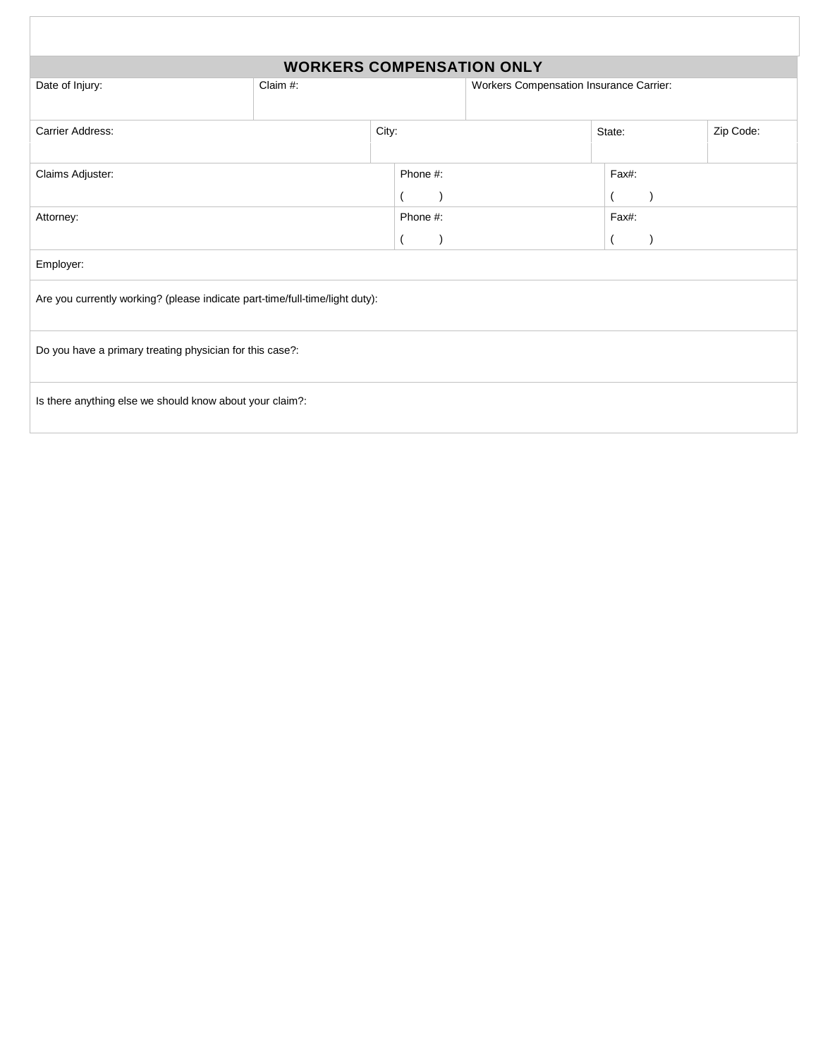|                                                                              | <b>WORKERS COMPENSATION ONLY</b> |       |          |  |                                         |        |       |  |           |
|------------------------------------------------------------------------------|----------------------------------|-------|----------|--|-----------------------------------------|--------|-------|--|-----------|
| Date of Injury:                                                              | Claim #:                         |       |          |  | Workers Compensation Insurance Carrier: |        |       |  |           |
|                                                                              |                                  |       |          |  |                                         |        |       |  |           |
| Carrier Address:                                                             |                                  | City: |          |  |                                         | State: |       |  | Zip Code: |
|                                                                              |                                  |       |          |  |                                         |        |       |  |           |
| Claims Adjuster:                                                             |                                  |       | Phone #: |  |                                         |        | Fax#: |  |           |
|                                                                              |                                  |       |          |  |                                         |        |       |  |           |
| Attorney:                                                                    |                                  |       | Phone #: |  | Fax#:                                   |        |       |  |           |
|                                                                              |                                  |       |          |  |                                         |        |       |  |           |
| Employer:                                                                    |                                  |       |          |  |                                         |        |       |  |           |
| Are you currently working? (please indicate part-time/full-time/light duty): |                                  |       |          |  |                                         |        |       |  |           |
|                                                                              |                                  |       |          |  |                                         |        |       |  |           |
| Do you have a primary treating physician for this case?:                     |                                  |       |          |  |                                         |        |       |  |           |
|                                                                              |                                  |       |          |  |                                         |        |       |  |           |
| Is there anything else we should know about your claim?:                     |                                  |       |          |  |                                         |        |       |  |           |
|                                                                              |                                  |       |          |  |                                         |        |       |  |           |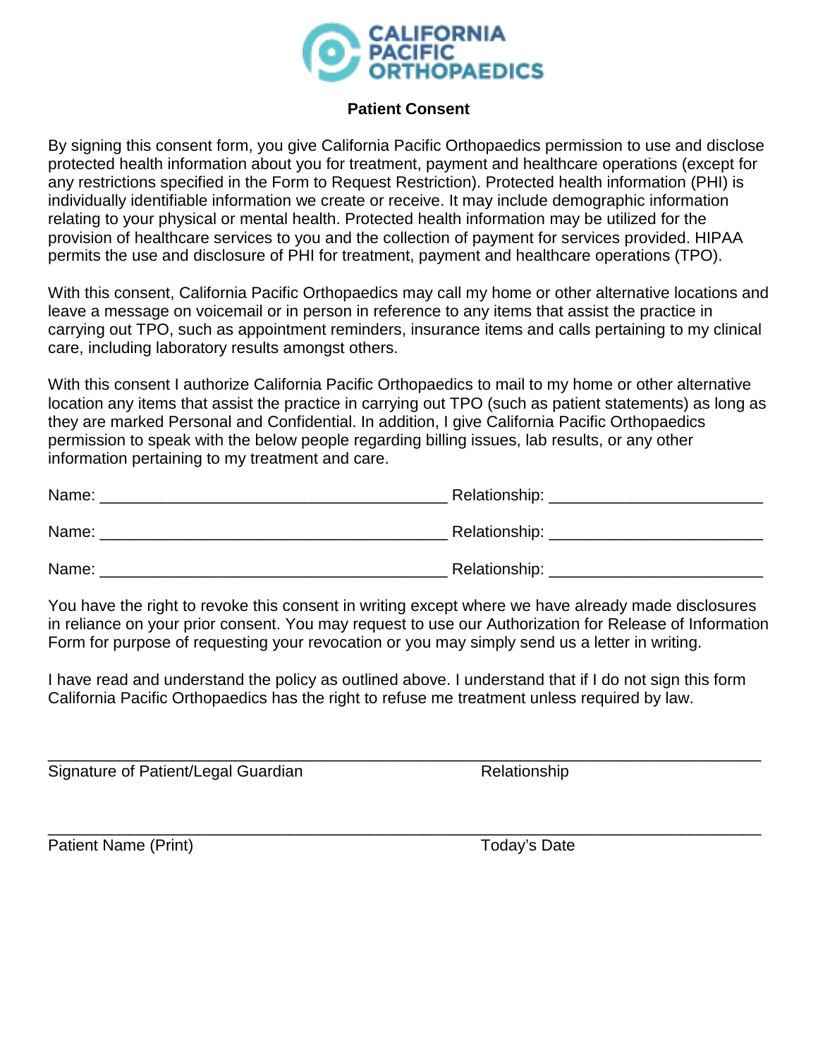

## **Patient Consent**

By signing this consent form, you give California Pacific Orthopaedics permission to use and disclose protected health information about you for treatment, payment and healthcare operations (except for any restrictions specified in the Form to Request Restriction). Protected health information (PHI) is individually identifiable information we create or receive. It may include demographic information relating to your physical or mental health. Protected health information may be utilized for the provision of healthcare services to you and the collection of payment for services provided. HIPAA permits the use and disclosure of PHI for treatment, payment and healthcare operations (TPO).

With this consent, California Pacific Orthopaedics may call my home or other alternative locations and leave a message on voicemail or in person in reference to any items that assist the practice in carrying out TPO, such as appointment reminders, insurance items and calls pertaining to my clinical care, including laboratory results amongst others.

With this consent I authorize California Pacific Orthopaedics to mail to my home or other alternative location any items that assist the practice in carrying out TPO (such as patient statements) as long as they are marked Personal and Confidential. In addition, I give California Pacific Orthopaedics permission to speak with the below people regarding billing issues, lab results, or any other information pertaining to my treatment and care.

| Name: | Relationship: |
|-------|---------------|
| Name: | Relationship: |
| Name: | Relationship: |

You have the right to revoke this consent in writing except where we have already made disclosures in reliance on your prior consent. You may request to use our Authorization for Release of Information Form for purpose of requesting your revocation or you may simply send us a letter in writing.

I have read and understand the policy as outlined above. I understand that if I do not sign this form California Pacific Orthopaedics has the right to refuse me treatment unless required by law.

\_\_\_\_\_\_\_\_\_\_\_\_\_\_\_\_\_\_\_\_\_\_\_\_\_\_\_\_\_\_\_\_\_\_\_\_\_\_\_\_\_\_\_\_\_\_\_\_\_\_\_\_\_\_\_\_\_\_\_\_\_\_\_\_\_\_\_\_\_\_\_\_\_\_\_\_\_\_\_\_

Signature of Patient/Legal Guardian Manuel Alexander Relationship

Patient Name (Print) Today's Date

\_\_\_\_\_\_\_\_\_\_\_\_\_\_\_\_\_\_\_\_\_\_\_\_\_\_\_\_\_\_\_\_\_\_\_\_\_\_\_\_\_\_\_\_\_\_\_\_\_\_\_\_\_\_\_\_\_\_\_\_\_\_\_\_\_\_\_\_\_\_\_\_\_\_\_\_\_\_\_\_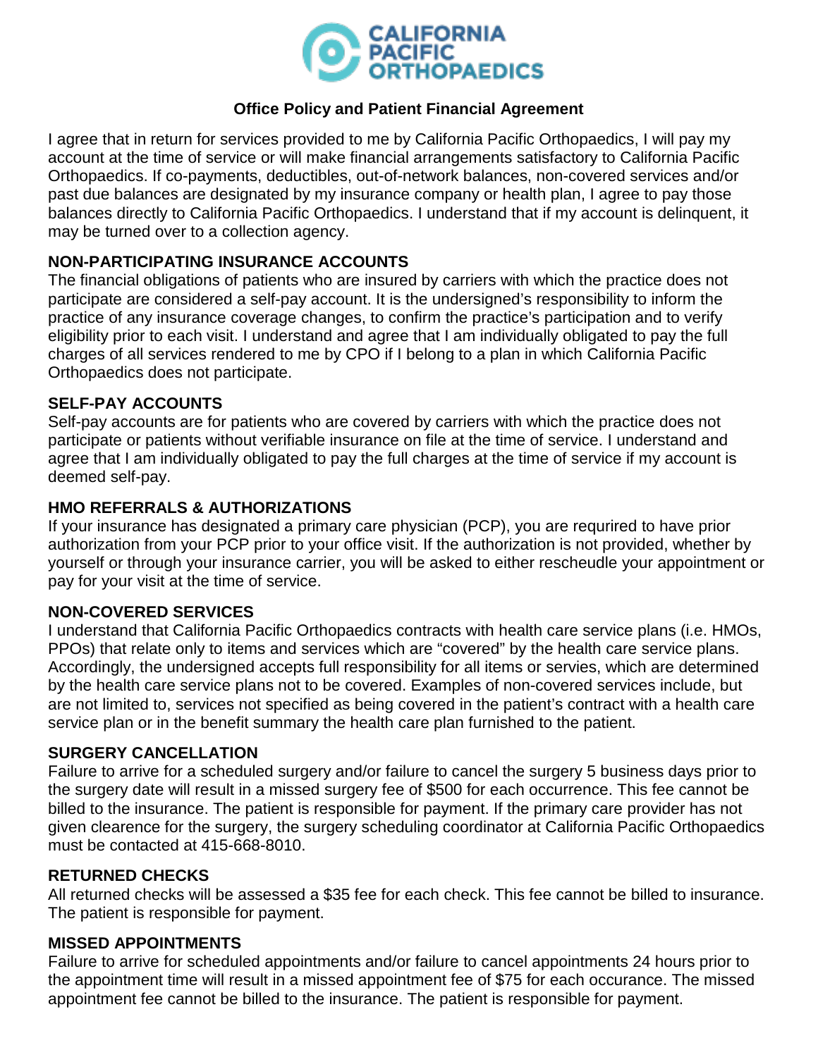

# **Office Policy and Patient Financial Agreement**

I agree that in return for services provided to me by California Pacific Orthopaedics, I will pay my account at the time of service or will make financial arrangements satisfactory to California Pacific Orthopaedics. If co-payments, deductibles, out-of-network balances, non-covered services and/or past due balances are designated by my insurance company or health plan, I agree to pay those balances directly to California Pacific Orthopaedics. I understand that if my account is delinquent, it may be turned over to a collection agency.

# **NON-PARTICIPATING INSURANCE ACCOUNTS**

The financial obligations of patients who are insured by carriers with which the practice does not participate are considered a self-pay account. It is the undersigned's responsibility to inform the practice of any insurance coverage changes, to confirm the practice's participation and to verify eligibility prior to each visit. I understand and agree that I am individually obligated to pay the full charges of all services rendered to me by CPO if I belong to a plan in which California Pacific Orthopaedics does not participate.

## **SELF-PAY ACCOUNTS**

Self-pay accounts are for patients who are covered by carriers with which the practice does not participate or patients without verifiable insurance on file at the time of service. I understand and agree that I am individually obligated to pay the full charges at the time of service if my account is deemed self-pay.

## **HMO REFERRALS & AUTHORIZATIONS**

If your insurance has designated a primary care physician (PCP), you are requrired to have prior authorization from your PCP prior to your office visit. If the authorization is not provided, whether by yourself or through your insurance carrier, you will be asked to either rescheudle your appointment or pay for your visit at the time of service.

## **NON-COVERED SERVICES**

I understand that California Pacific Orthopaedics contracts with health care service plans (i.e. HMOs, PPOs) that relate only to items and services which are "covered" by the health care service plans. Accordingly, the undersigned accepts full responsibility for all items or servies, which are determined by the health care service plans not to be covered. Examples of non-covered services include, but are not limited to, services not specified as being covered in the patient's contract with a health care service plan or in the benefit summary the health care plan furnished to the patient.

## **SURGERY CANCELLATION**

Failure to arrive for a scheduled surgery and/or failure to cancel the surgery 5 business days prior to the surgery date will result in a missed surgery fee of \$500 for each occurrence. This fee cannot be billed to the insurance. The patient is responsible for payment. If the primary care provider has not given clearence for the surgery, the surgery scheduling coordinator at California Pacific Orthopaedics must be contacted at 415-668-8010.

## **RETURNED CHECKS**

All returned checks will be assessed a \$35 fee for each check. This fee cannot be billed to insurance. The patient is responsible for payment.

#### **MISSED APPOINTMENTS**

Failure to arrive for scheduled appointments and/or failure to cancel appointments 24 hours prior to the appointment time will result in a missed appointment fee of \$75 for each occurance. The missed appointment fee cannot be billed to the insurance. The patient is responsible for payment.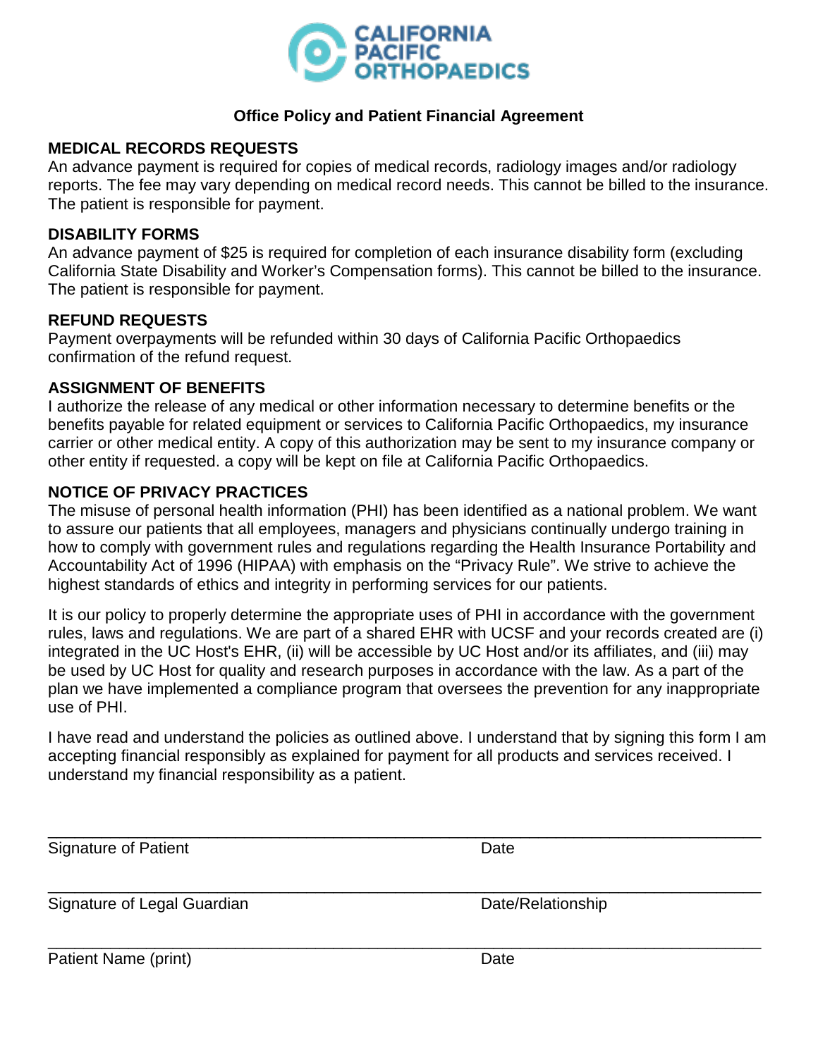

## **Office Policy and Patient Financial Agreement**

## **MEDICAL RECORDS REQUESTS**

An advance payment is required for copies of medical records, radiology images and/or radiology reports. The fee may vary depending on medical record needs. This cannot be billed to the insurance. The patient is responsible for payment.

### **DISABILITY FORMS**

An advance payment of \$25 is required for completion of each insurance disability form (excluding California State Disability and Worker's Compensation forms). This cannot be billed to the insurance. The patient is responsible for payment.

### **REFUND REQUESTS**

Payment overpayments will be refunded within 30 days of California Pacific Orthopaedics confirmation of the refund request.

## **ASSIGNMENT OF BENEFITS**

I authorize the release of any medical or other information necessary to determine benefits or the benefits payable for related equipment or services to California Pacific Orthopaedics, my insurance carrier or other medical entity. A copy of this authorization may be sent to my insurance company or other entity if requested. a copy will be kept on file at California Pacific Orthopaedics.

## **NOTICE OF PRIVACY PRACTICES**

The misuse of personal health information (PHI) has been identified as a national problem. We want to assure our patients that all employees, managers and physicians continually undergo training in how to comply with government rules and regulations regarding the Health Insurance Portability and Accountability Act of 1996 (HIPAA) with emphasis on the "Privacy Rule". We strive to achieve the highest standards of ethics and integrity in performing services for our patients.

It is our policy to properly determine the appropriate uses of PHI in accordance with the government rules, laws and regulations. We are part of a shared EHR with UCSF and your records created are (i) integrated in the UC Host's EHR, (ii) will be accessible by UC Host and/or its affiliates, and (iii) may be used by UC Host for quality and research purposes in accordance with the law. As a part of the plan we have implemented a compliance program that oversees the prevention for any inappropriate use of PHI.

I have read and understand the policies as outlined above. I understand that by signing this form I am accepting financial responsibly as explained for payment for all products and services received. I understand my financial responsibility as a patient.

| <b>Signature of Patient</b> | Date              |  |
|-----------------------------|-------------------|--|
| Signature of Legal Guardian | Date/Relationship |  |
| Patient Name (print)        | Date              |  |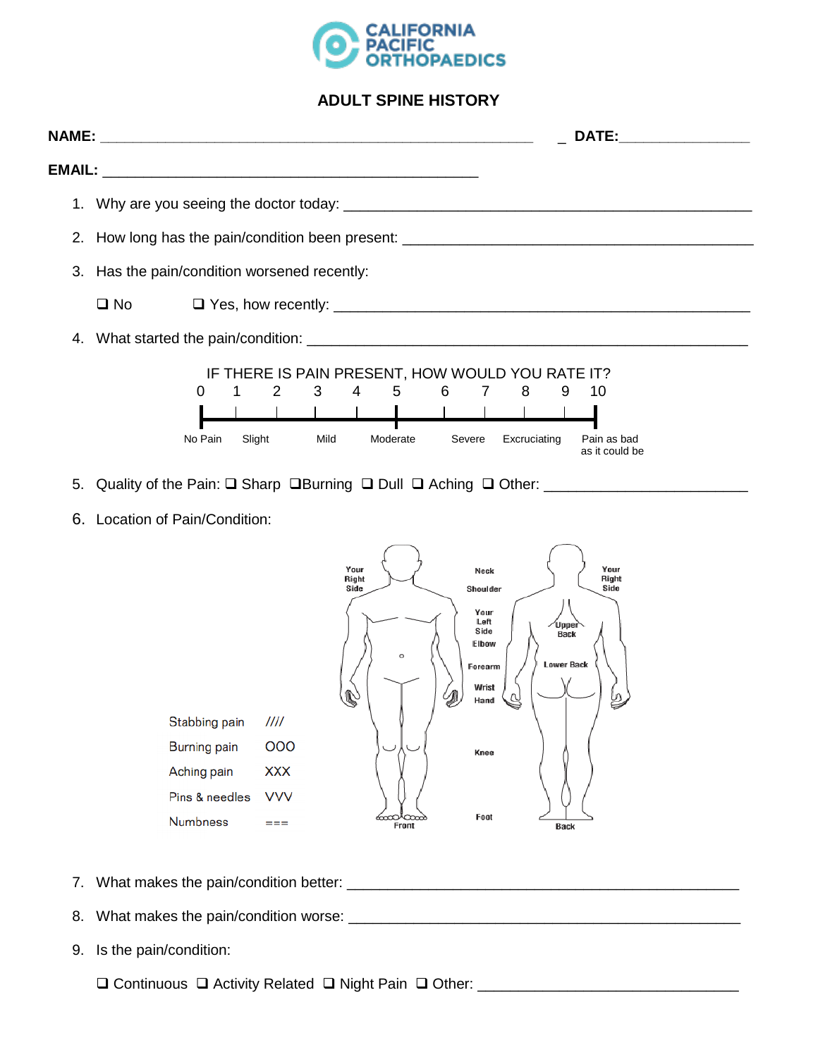

#### **ADULT SPINE HISTORY**

|                                                                                                                  |         |                                                  |      |          |                     |  | <b>DATE:</b>                  |  |
|------------------------------------------------------------------------------------------------------------------|---------|--------------------------------------------------|------|----------|---------------------|--|-------------------------------|--|
|                                                                                                                  |         |                                                  |      |          |                     |  |                               |  |
|                                                                                                                  |         |                                                  |      |          |                     |  |                               |  |
| 2. How long has the pain/condition been present: 2000 Content Content of the Paint Content of the Pain Condition |         |                                                  |      |          |                     |  |                               |  |
| 3. Has the pain/condition worsened recently:                                                                     |         |                                                  |      |          |                     |  |                               |  |
| $\Box$ No $\Box$                                                                                                 |         |                                                  |      |          |                     |  |                               |  |
|                                                                                                                  |         |                                                  |      |          |                     |  |                               |  |
|                                                                                                                  |         | IF THERE IS PAIN PRESENT, HOW WOULD YOU RATE IT? |      |          |                     |  |                               |  |
|                                                                                                                  | 0       | 1 2 3 4 5 6 7 8 9 10                             |      |          |                     |  |                               |  |
|                                                                                                                  |         |                                                  |      |          |                     |  |                               |  |
|                                                                                                                  | No Pain | Slight                                           | Mild | Moderate | Severe Excruciating |  | Pain as bad<br>as it could be |  |

- 5. Quality of the Pain: Sharp Burning Dull Aching Other: \_\_\_\_\_\_\_\_\_\_\_\_\_\_\_\_\_\_\_\_\_\_\_\_\_
- 6. Location of Pain/Condition:



- 7. What makes the pain/condition better: \_\_\_\_\_\_\_\_\_\_\_\_\_\_\_\_\_\_\_\_\_\_\_\_\_\_\_\_\_\_\_\_\_\_\_\_\_\_\_\_\_\_\_\_\_\_\_\_
- 8. What makes the pain/condition worse: \_\_\_\_\_\_\_\_\_\_\_\_\_\_\_\_\_\_\_\_\_\_\_\_\_\_\_\_\_\_\_\_\_\_\_\_\_\_\_\_\_\_\_\_\_\_\_\_
- 9. Is the pain/condition:

□ Continuous □ Activity Related □ Night Pain □ Other: \_\_\_\_\_\_\_\_\_\_\_\_\_\_\_\_\_\_\_\_\_\_\_\_\_\_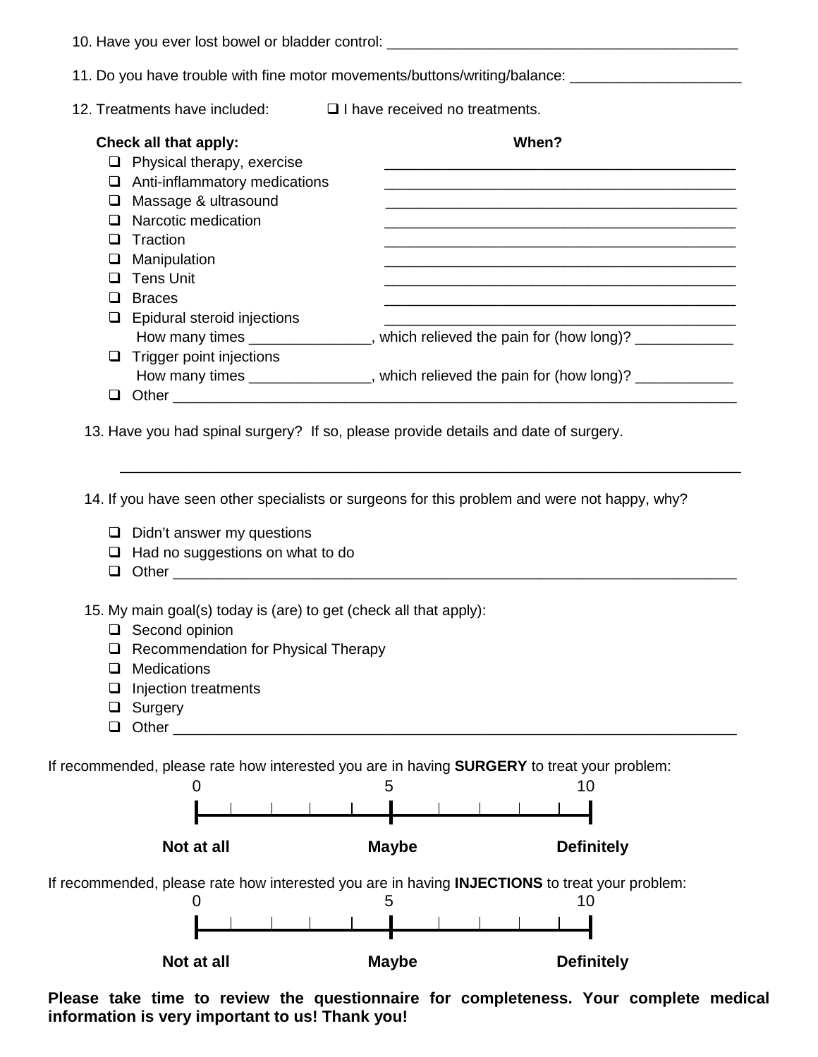|                            | 10. Have you ever lost bowel or bladder control: _______________________________                                                                                                                                                                                |                                       |                                                                                                                                                                                      |
|----------------------------|-----------------------------------------------------------------------------------------------------------------------------------------------------------------------------------------------------------------------------------------------------------------|---------------------------------------|--------------------------------------------------------------------------------------------------------------------------------------------------------------------------------------|
|                            | 11. Do you have trouble with fine motor movements/buttons/writing/balance: ________________________                                                                                                                                                             |                                       |                                                                                                                                                                                      |
|                            | 12. Treatments have included:                                                                                                                                                                                                                                   | $\Box$ I have received no treatments. |                                                                                                                                                                                      |
| ⊔<br>□<br>ப<br>⊔<br>⊔<br>ப | Check all that apply:<br>$\Box$ Physical therapy, exercise<br>Anti-inflammatory medications<br>Massage & ultrasound<br>Narcotic medication<br>Traction<br>Manipulation<br><b>Tens Unit</b>                                                                      | When?                                 | <u> 1989 - Johann Stoff, deutscher Stoff, der Stoff, der Stoff, der Stoff, der Stoff, der Stoff, der Stoff, der S</u><br><u> 1989 - Johann Stoff, amerikansk politiker (d. 1989)</u> |
| □                          | $\Box$ Braces<br>$\Box$ Epidural steroid injections<br>How many times _______________, which relieved the pain for (how long)? ____________<br>Trigger point injections<br>How many times _______________, which relieved the pain for (how long)? ____________ |                                       | <u> 1989 - Johann John Stone, market fan de ferskeinde fan de ferskeinde fan de ferskeinde fan de ferskeinde fan</u>                                                                 |
| □<br>$\Box$                | 13. Have you had spinal surgery? If so, please provide details and date of surgery.<br>14. If you have seen other specialists or surgeons for this problem and were not happy, why?<br>$\Box$ Didn't answer my questions<br>Had no suggestions on what to do    |                                       |                                                                                                                                                                                      |
| ப<br>⊔<br>❏                | 15. My main goal(s) today is (are) to get (check all that apply):<br>Second opinion<br>Recommendation for Physical Therapy<br><b>Medications</b><br>Injection treatments<br>$\Box$ Surgery                                                                      |                                       |                                                                                                                                                                                      |
|                            | If recommended, please rate how interested you are in having SURGERY to treat your problem:<br>0<br>Not at all                                                                                                                                                  | 5<br><b>Maybe</b>                     | 10<br><b>Definitely</b>                                                                                                                                                              |
|                            | If recommended, please rate how interested you are in having INJECTIONS to treat your problem:<br>0<br>Not at all                                                                                                                                               | 5<br><b>Maybe</b>                     | 10<br><b>Definitely</b>                                                                                                                                                              |

**Please take time to review the questionnaire for completeness. Your complete medical information is very important to us! Thank you!**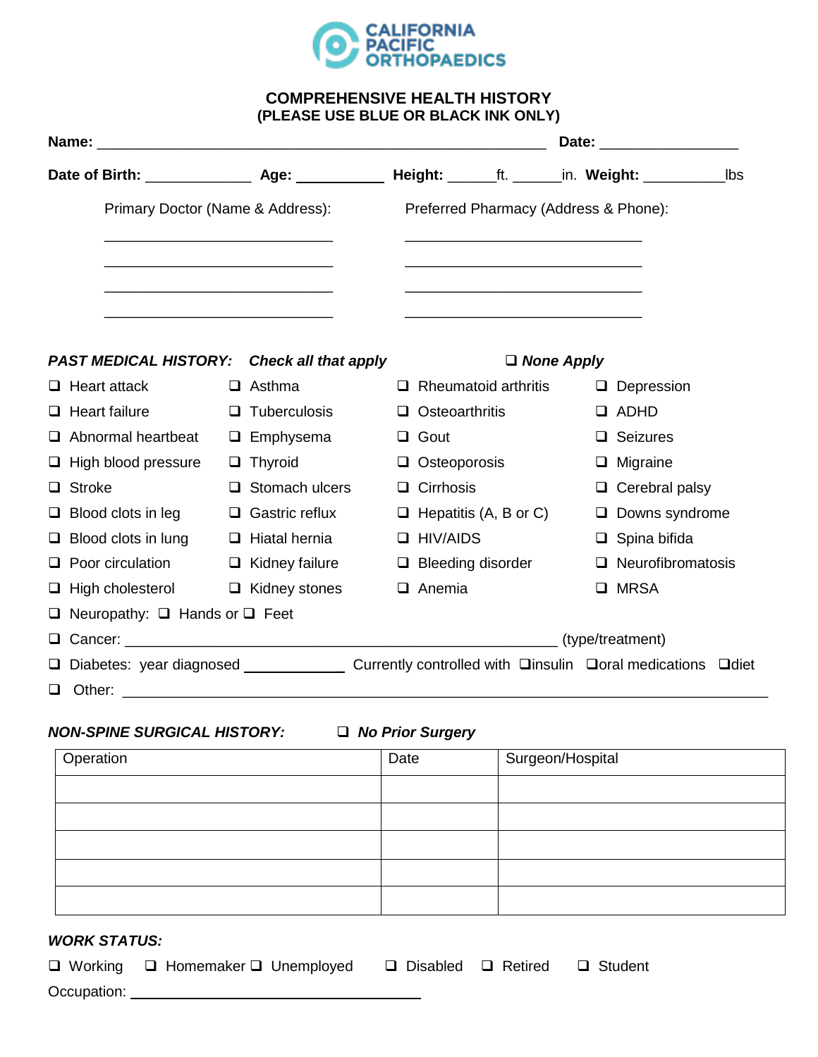

## **COMPREHENSIVE HEALTH HISTORY (PLEASE USE BLUE OR BLACK INK ONLY)**

|                                  |                                                                                                             |  |                             |  |                                       |                              |  |                          | lbs |
|----------------------------------|-------------------------------------------------------------------------------------------------------------|--|-----------------------------|--|---------------------------------------|------------------------------|--|--------------------------|-----|
| Primary Doctor (Name & Address): |                                                                                                             |  |                             |  | Preferred Pharmacy (Address & Phone): |                              |  |                          |     |
|                                  |                                                                                                             |  |                             |  |                                       |                              |  |                          |     |
|                                  | <b>PAST MEDICAL HISTORY:</b>                                                                                |  | <b>Check all that apply</b> |  |                                       | $\Box$ None Apply            |  |                          |     |
|                                  | $\Box$ Heart attack                                                                                         |  | $\Box$ Asthma               |  |                                       | $\Box$ Rheumatoid arthritis  |  | $\Box$ Depression        |     |
|                                  | $\Box$ Heart failure                                                                                        |  | $\Box$ Tuberculosis         |  | Q.                                    | Osteoarthritis               |  | $\Box$ ADHD              |     |
|                                  | $\Box$ Abnormal heartbeat                                                                                   |  | $\Box$ Emphysema            |  | $\Box$                                | Gout                         |  | $\Box$ Seizures          |     |
|                                  | $\Box$ High blood pressure                                                                                  |  | $\Box$ Thyroid              |  |                                       | $\Box$ Osteoporosis          |  | $\Box$ Migraine          |     |
|                                  | $\Box$ Stroke                                                                                               |  | $\Box$ Stomach ulcers       |  | $\Box$                                | Cirrhosis                    |  | $\Box$ Cerebral palsy    |     |
|                                  | $\Box$ Blood clots in leg                                                                                   |  | $\Box$ Gastric reflux       |  |                                       | $\Box$ Hepatitis (A, B or C) |  | $\Box$ Downs syndrome    |     |
|                                  | $\Box$ Blood clots in lung                                                                                  |  | $\Box$ Hiatal hernia        |  |                                       | $\Box$ HIV/AIDS              |  | $\Box$ Spina bifida      |     |
|                                  | $\Box$ Poor circulation $\Box$ Kidney failure                                                               |  |                             |  |                                       | $\Box$ Bleeding disorder     |  | $\Box$ Neurofibromatosis |     |
|                                  | $\Box$ High cholesterol $\Box$ Kidney stones                                                                |  |                             |  |                                       | $\Box$ Anemia                |  | □ MRSA                   |     |
|                                  | $\Box$ Neuropathy: $\Box$ Hands or $\Box$ Feet                                                              |  |                             |  |                                       |                              |  |                          |     |
|                                  |                                                                                                             |  |                             |  |                                       |                              |  |                          |     |
|                                  | □ Diabetes: year diagnosed _____________________ Currently controlled with □insulin □oral medications □diet |  |                             |  |                                       |                              |  |                          |     |
|                                  |                                                                                                             |  |                             |  |                                       |                              |  |                          |     |

## *NON-SPINE SURGICAL HISTORY: No Prior Surgery*

| Operation | Date | Surgeon/Hospital |
|-----------|------|------------------|
|           |      |                  |
|           |      |                  |
|           |      |                  |
|           |      |                  |
|           |      |                  |

# *WORK STATUS:*

|             | $\Box$ Working $\Box$ Homemaker $\Box$ Unemployed | $\Box$ Disabled $\Box$ Retired $\Box$ Student |  |
|-------------|---------------------------------------------------|-----------------------------------------------|--|
| Occupation: |                                                   |                                               |  |